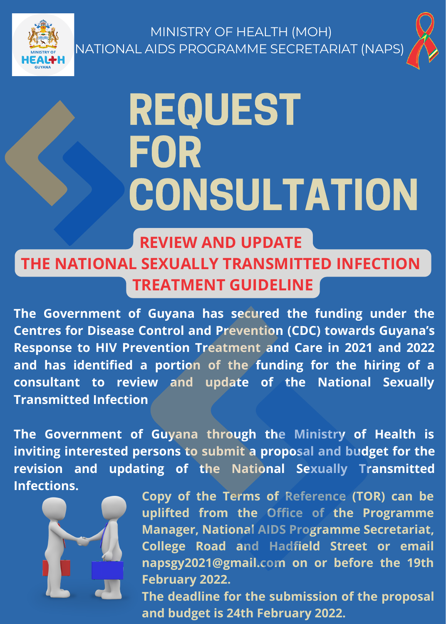



#### REQUEST FOR **CONSULTATION**

#### **REVIEW AND UPDATE THE NATIONAL SEXUALLY TRANSMITTED INFECTION TREATMENT GUIDELINE**

**The Government of Guyana has secured the funding under the Centres for Disease Control and Prevention (CDC) towards Guyana's Response to HIV Prevention Treatment and Care in 2021 and 2022 and has identified a portion of the funding for the hiring of a consultant to review and update of the National Sexually Transmitted Infection**

**The Government of Guyana through the Ministry of Health is inviting interested persons to submit a proposal and budget for the revision and updating of the National Sexually Transmitted Infections.**



**Copy of the Terms of Reference (TOR) can be uplifted from the Office of the Programme Manager, National AIDS Programme Secretariat, College Road and Hadfield Street or email [napsgy2021@gmail.com](mailto:napsgy2021@gmail.com) on or before the 19th February 2022.**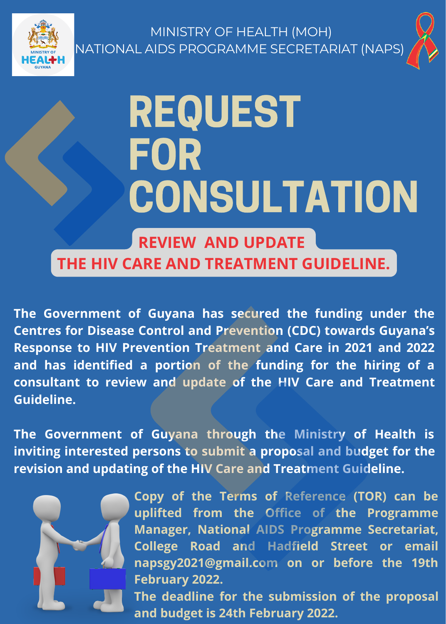



## REQUEST FOR CONSULTATION

**REVIEW AND UPDATE THE HIV CARE AND TREATMENT GUIDELINE.**

**The Government of Guyana has secured the funding under the Centres for Disease Control and Prevention (CDC) towards Guyana's Response to HIV Prevention Treatment and Care in 2021 and 2022 and has identified a portion of the funding for the hiring of a consultant to review and update of the HIV Care and Treatment Guideline.**

**The Government of Guyana through the Ministry of Health is inviting interested persons to submit a proposal and budget for the revision and updating of the HIV Care and Treatment Guideline.**



**Copy of the Terms of Reference (TOR) can be uplifted from the Office of the Programme Manager, National AIDS Programme Secretariat, College Road and Hadfield Street or email [napsgy2021@gmail.com](mailto:napsgy2021@gmail.com) on or before the 19th February 2022.**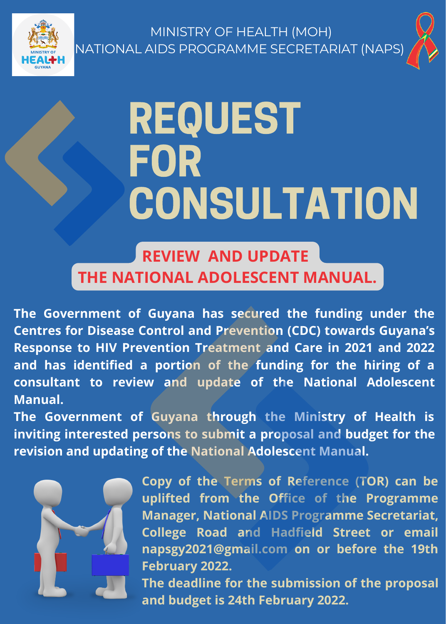



# **REQUEST** FOR **CONSULTATION**

#### **REVIEW AND UPDATE THE NATIONAL ADOLESCENT MANUAL.**

**The Government of Guyana has secured the funding under the Centres for Disease Control and Prevention (CDC) towards Guyana's Response to HIV Prevention Treatment and Care in 2021 and 2022 and has identified a portion of the funding for the hiring of a consultant to review and update of the National Adolescent Manual.**

**The Government of Guyana through the Ministry of Health is inviting interested persons to submit a proposal and budget for the revision and updating of the National Adolescent Manual.**



**Copy of the Terms of Reference (TOR) can be uplifted from the Office of the Programme Manager, National AIDS Programme Secretariat, College Road and Hadfield Street or email [napsgy2021@gmail.com](mailto:napsgy2021@gmail.com) on or before the 19th February 2022.**